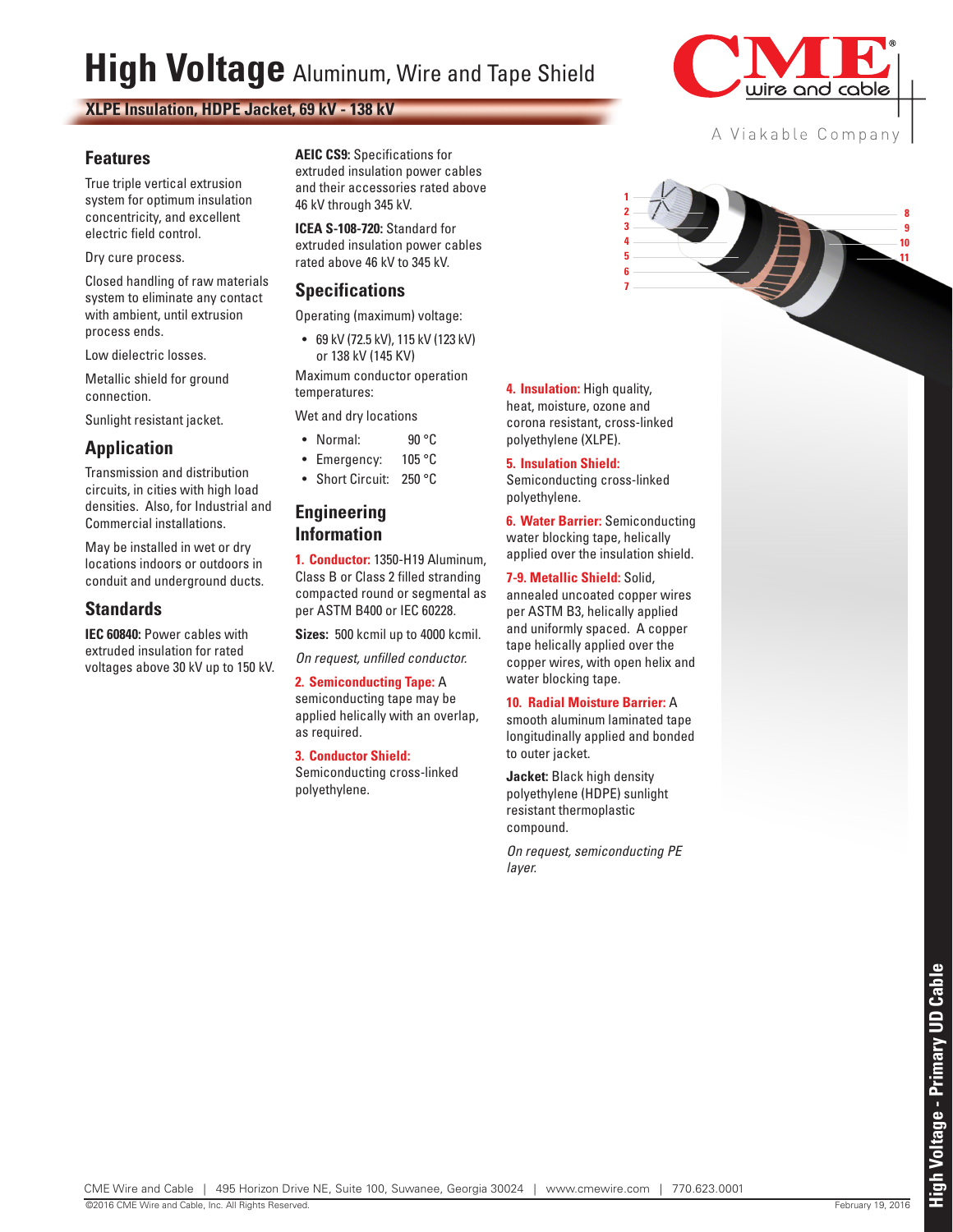# **High Voltage** Aluminum, Wire and Tape Shield

**XLPE Insulation, HDPE Jacket, 69 kV - 138 kV**

### **Features**

True triple vertical extrusion system for optimum insulation concentricity, and excellent electric field control.

#### Dry cure process.

Closed handling of raw materials system to eliminate any contact with ambient, until extrusion process ends.

Low dielectric losses.

Metallic shield for ground connection.

Sunlight resistant jacket.

## **Application**

Transmission and distribution circuits, in cities with high load densities. Also, for Industrial and Commercial installations.

May be installed in wet or dry locations indoors or outdoors in conduit and underground ducts.

### **Standards**

**IEC 60840: Power cables with** extruded insulation for rated voltages above 30 kV up to 150 kV. **AEIC CS9:** Specifications for extruded insulation power cables and their accessories rated above 46 kV through 345 kV.

**ICEA S-108-720:** Standard for extruded insulation power cables rated above 46 kV to 345 kV.

## **Specifications**

Operating (maximum) voltage:

• 69 kV (72.5 kV), 115 kV (123 kV) or 138 kV (145 KV)

Maximum conductor operation temperatures:

Wet and dry locations

- Normal: 90 °C
- Emergency: 105 °C
- Short Circuit: 250 °C

#### **Engineering Information**

**1. Conductor:** 1350-H19 Aluminum, Class B or Class 2 filled stranding compacted round or segmental as per ASTM B400 or IEC 60228.

**Sizes:** 500 kcmil up to 4000 kcmil.

*On request, unfilled conductor.*

**2. Semiconducting Tape:** A semiconducting tape may be applied helically with an overlap, as required.

#### **3. Conductor Shield:**

Semiconducting cross-linked polyethylene.

**4. Insulation:** High quality, heat, moisture, ozone and corona resistant, cross-linked polyethylene (XLPE).

#### **5. Insulation Shield:**

Semiconducting cross-linked polyethylene.

**6. Water Barrier:** Semiconducting water blocking tape, helically applied over the insulation shield.

#### **7-9. Metallic Shield:** Solid,

annealed uncoated copper wires per ASTM B3, helically applied and uniformly spaced. A copper tape helically applied over the copper wires, with open helix and water blocking tape.

#### **10. Radial Moisture Barrier:** A

smooth aluminum laminated tape longitudinally applied and bonded to outer jacket.

**Jacket:** Black high density polyethylene (HDPE) sunlight resistant thermoplastic compound.

*On request, semiconducting PE layer.*





## A Viakable Company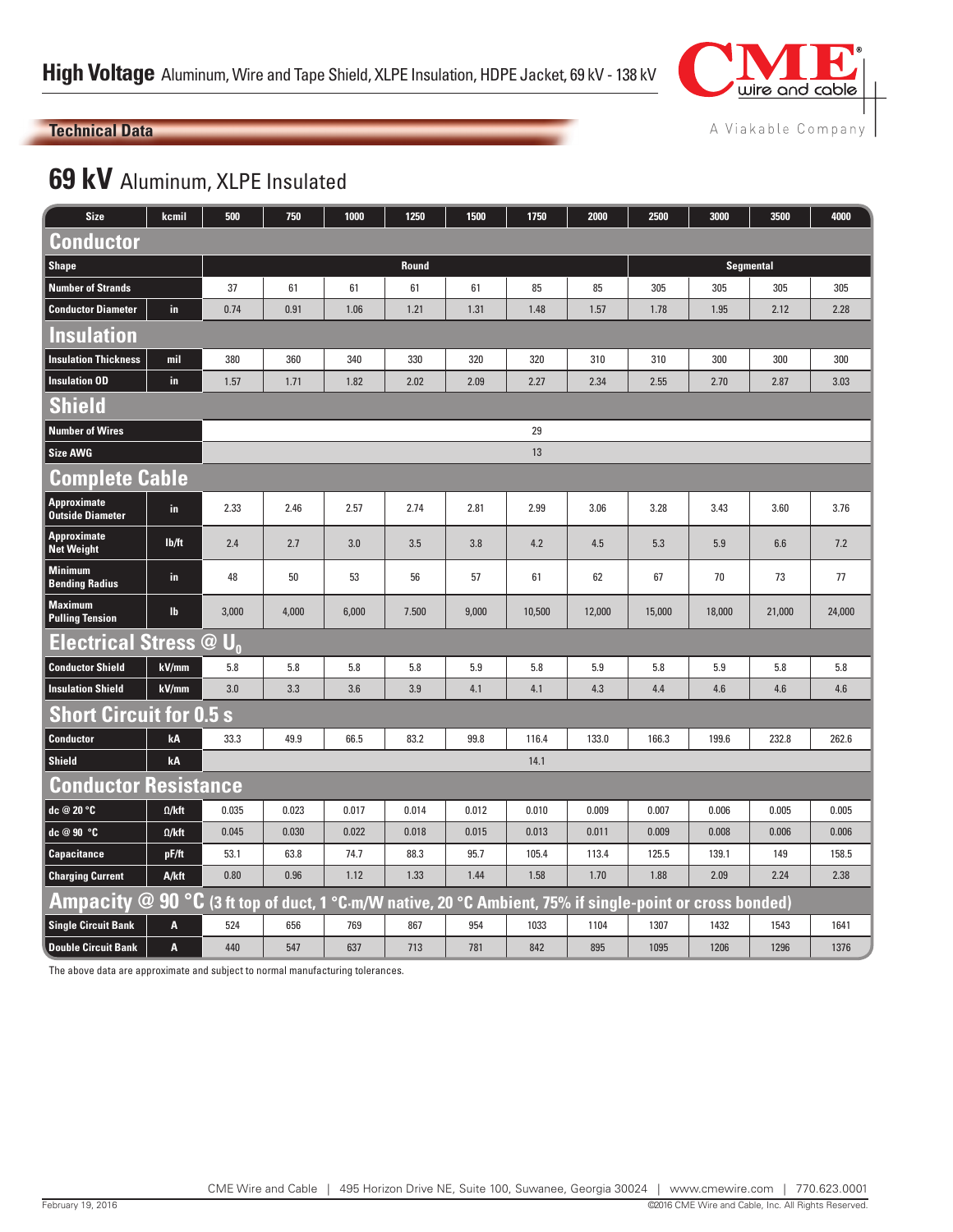

#### A Viakable Company

## **Technical Data**

## **69 kV** Aluminum, XLPE Insulated

| <b>Size</b>                                                                                                                | kcmil                 | 500            | 750   | 1000  | 1250  | 1500             | 1750   | 2000   | 2500   | 3000   | 3500   | 4000   |  |
|----------------------------------------------------------------------------------------------------------------------------|-----------------------|----------------|-------|-------|-------|------------------|--------|--------|--------|--------|--------|--------|--|
| <b>Conductor</b>                                                                                                           |                       |                |       |       |       |                  |        |        |        |        |        |        |  |
| <b>Shape</b>                                                                                                               |                       |                |       |       |       | <b>Segmental</b> |        |        |        |        |        |        |  |
| <b>Number of Strands</b>                                                                                                   |                       | 37             | 61    | 61    | 61    | 61               | 85     | 85     | 305    | 305    | 305    | 305    |  |
| <b>Conductor Diameter</b>                                                                                                  | in.                   | 0.74           | 0.91  | 1.06  | 1.21  | 1.31             | 1.48   | 1.57   | 1.78   | 1.95   | 2.12   | 2.28   |  |
| Insulation                                                                                                                 |                       |                |       |       |       |                  |        |        |        |        |        |        |  |
| <b>Insulation Thickness</b>                                                                                                | mil                   | 380            | 360   | 340   | 330   | 320              | 320    | 310    | 310    | 300    | 300    | 300    |  |
| <b>Insulation OD</b>                                                                                                       | in                    | 1.57           | 1.71  | 1.82  | 2.02  | 2.09             | 2.27   | 2.34   | 2.55   | 2.70   | 2.87   | 3.03   |  |
| <b>Shield</b>                                                                                                              |                       |                |       |       |       |                  |        |        |        |        |        |        |  |
| <b>Number of Wires</b>                                                                                                     |                       | 29             |       |       |       |                  |        |        |        |        |        |        |  |
| <b>Size AWG</b>                                                                                                            |                       |                |       |       |       |                  | 13     |        |        |        |        |        |  |
|                                                                                                                            | <b>Complete Cable</b> |                |       |       |       |                  |        |        |        |        |        |        |  |
| Approximate<br><b>Outside Diameter</b>                                                                                     | in.                   | 2.33           | 2.46  | 2.57  | 2.74  | 2.81             | 2.99   | 3.06   | 3.28   | 3.43   | 3.60   | 3.76   |  |
| <b>Approximate</b><br><b>Net Weight</b>                                                                                    | lb/ft                 | 2.4            | 2.7   | 3.0   | 3.5   | 3.8              | 4.2    | 4.5    | 5.3    | 5.9    | 6.6    | 7.2    |  |
| <b>Minimum</b><br><b>Bending Radius</b>                                                                                    | in.                   | 48             | 50    | 53    | 56    | 57               | 61     | 62     | 67     | 70     | 73     | 77     |  |
| <b>Maximum</b><br><b>Pulling Tension</b>                                                                                   | $\mathbf{I}$          | 3,000          | 4,000 | 6,000 | 7.500 | 9,000            | 10,500 | 12,000 | 15,000 | 18,000 | 21,000 | 24,000 |  |
| <b>Electrical Stress @</b>                                                                                                 |                       | $\mathbf{U}_0$ |       |       |       |                  |        |        |        |        |        |        |  |
| <b>Conductor Shield</b>                                                                                                    | kV/mm                 | 5.8            | 5.8   | 5.8   | 5.8   | 5.9              | 5.8    | 5.9    | 5.8    | 5.9    | 5.8    | 5.8    |  |
| <b>Insulation Shield</b>                                                                                                   | kV/mm                 | 3.0            | 3.3   | 3.6   | 3.9   | 4.1              | 4.1    | 4.3    | 4.4    | 4.6    | 4.6    | 4.6    |  |
| <b>Short Circuit for 0.5 s</b>                                                                                             |                       |                |       |       |       |                  |        |        |        |        |        |        |  |
| <b>Conductor</b>                                                                                                           | kA                    | 33.3           | 49.9  | 66.5  | 83.2  | 99.8             | 116.4  | 133.0  | 166.3  | 199.6  | 232.8  | 262.6  |  |
| <b>Shield</b>                                                                                                              | kA                    |                |       |       |       |                  | 14.1   |        |        |        |        |        |  |
| <b>Conductor Resistance</b>                                                                                                |                       |                |       |       |       |                  |        |        |        |        |        |        |  |
| dc @ 20 °C                                                                                                                 | $\Omega$ /kft         | 0.035          | 0.023 | 0.017 | 0.014 | 0.012            | 0.010  | 0.009  | 0.007  | 0.006  | 0.005  | 0.005  |  |
| dc @ 90 °C                                                                                                                 | $\Omega$ /kft         | 0.045          | 0.030 | 0.022 | 0.018 | 0.015            | 0.013  | 0.011  | 0.009  | 0.008  | 0.006  | 0.006  |  |
| Capacitance                                                                                                                | pF/ft                 | 53.1           | 63.8  | 74.7  | 88.3  | 95.7             | 105.4  | 113.4  | 125.5  | 139.1  | 149    | 158.5  |  |
| <b>Charging Current</b>                                                                                                    | A/kft                 | 0.80           | 0.96  | 1.12  | 1.33  | 1.44             | 1.58   | 1.70   | 1.88   | 2.09   | 2.24   | 2.38   |  |
| $\overline{\bf A}$ mpacity @ 90 °C (3 ft top of duct, 1 °C·m/W native, 20 °C Ambient, 75% if single-point or cross bonded) |                       |                |       |       |       |                  |        |        |        |        |        |        |  |
| <b>Single Circuit Bank</b>                                                                                                 | A                     | 524            | 656   | 769   | 867   | 954              | 1033   | 1104   | 1307   | 1432   | 1543   | 1641   |  |
| <b>Double Circuit Bank</b>                                                                                                 | A                     | 440            | 547   | 637   | 713   | 781              | 842    | 895    | 1095   | 1206   | 1296   | 1376   |  |

The above data are approximate and subject to normal manufacturing tolerances.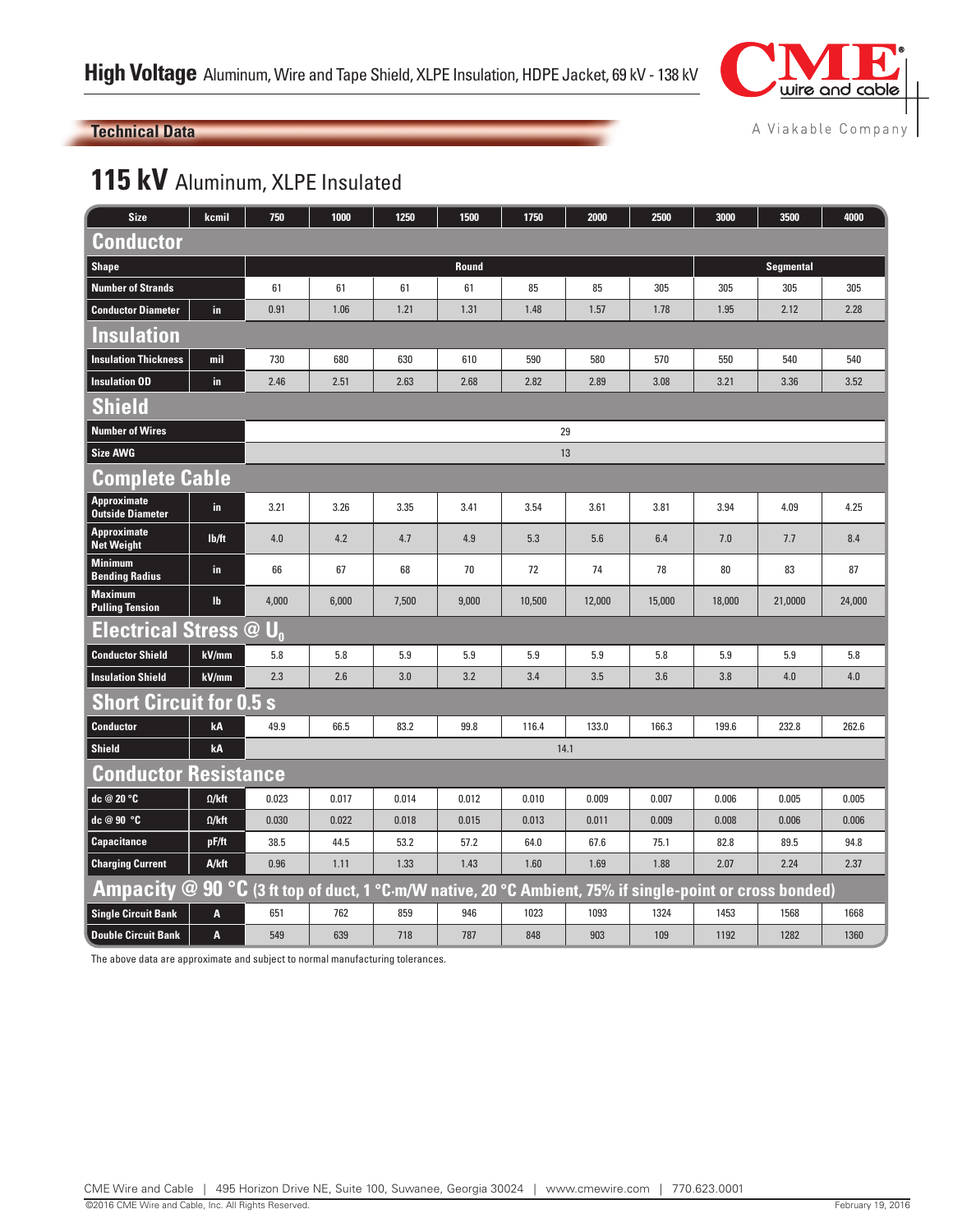

#### **Technical Data**

A Viakable Company

## 115 kV Aluminum, XLPE Insulated

| <b>Size</b>                              | kcmil         | 750                                                                                             | 1000  | 1250  | 1500  | 1750   | 2000   | 2500   | 3000   | 3500             | 4000   |  |  |
|------------------------------------------|---------------|-------------------------------------------------------------------------------------------------|-------|-------|-------|--------|--------|--------|--------|------------------|--------|--|--|
| <b>Conductor</b>                         |               |                                                                                                 |       |       |       |        |        |        |        |                  |        |  |  |
| <b>Shape</b>                             |               | Round                                                                                           |       |       |       |        |        |        |        | <b>Segmental</b> |        |  |  |
| <b>Number of Strands</b>                 |               | 61                                                                                              | 61    | 61    | 61    | 85     | 85     | 305    | 305    | 305              | 305    |  |  |
| <b>Conductor Diameter</b>                | in.           | 0.91                                                                                            | 1.06  | 1.21  | 1.31  | 1.48   | 1.57   | 1.78   | 1.95   | 2.12             | 2.28   |  |  |
| <b>Insulation</b>                        |               |                                                                                                 |       |       |       |        |        |        |        |                  |        |  |  |
| <b>Insulation Thickness</b>              | mil           | 730                                                                                             | 680   | 630   | 610   | 590    | 580    | 570    | 550    | 540              | 540    |  |  |
| <b>Insulation OD</b>                     | in.           | 2.46                                                                                            | 2.51  | 2.63  | 2.68  | 2.82   | 2.89   | 3.08   | 3.21   | 3.36             | 3.52   |  |  |
| <b>Shield</b>                            |               |                                                                                                 |       |       |       |        |        |        |        |                  |        |  |  |
| <b>Number of Wires</b>                   | 29            |                                                                                                 |       |       |       |        |        |        |        |                  |        |  |  |
| <b>Size AWG</b>                          |               |                                                                                                 |       |       |       | 13     |        |        |        |                  |        |  |  |
| <b>Complete Cable</b>                    |               |                                                                                                 |       |       |       |        |        |        |        |                  |        |  |  |
| Approximate<br><b>Outside Diameter</b>   | in.           | 3.21                                                                                            | 3.26  | 3.35  | 3.41  | 3.54   | 3.61   | 3.81   | 3.94   | 4.09             | 4.25   |  |  |
| <b>Approximate</b><br><b>Net Weight</b>  | lb/ft         | 4.0                                                                                             | 4.2   | 4.7   | 4.9   | 5.3    | 5.6    | 6.4    | 7.0    | 7.7              | 8.4    |  |  |
| <b>Minimum</b><br><b>Bending Radius</b>  | in.           | 66                                                                                              | 67    | 68    | 70    | 72     | 74     | 78     | 80     | 83               | 87     |  |  |
| <b>Maximum</b><br><b>Pulling Tension</b> | $\mathbf{I}$  | 4,000                                                                                           | 6,000 | 7,500 | 9,000 | 10,500 | 12,000 | 15,000 | 18,000 | 21,0000          | 24,000 |  |  |
| <b>Electrical Stress @</b>               |               | $\mathsf{U}_{0}$                                                                                |       |       |       |        |        |        |        |                  |        |  |  |
| <b>Conductor Shield</b>                  | kV/mm         | 5.8                                                                                             | 5.8   | 5.9   | 5.9   | 5.9    | 5.9    | 5.8    | 5.9    | 5.9              | 5.8    |  |  |
| <b>Insulation Shield</b>                 | kV/mm         | 2.3                                                                                             | 2.6   | 3.0   | 3.2   | 3.4    | 3.5    | 3.6    | 3.8    | 4.0              | 4.0    |  |  |
| <b>Short Circuit for 0.5 s</b>           |               |                                                                                                 |       |       |       |        |        |        |        |                  |        |  |  |
| <b>Conductor</b>                         | kA            | 49.9                                                                                            | 66.5  | 83.2  | 99.8  | 116.4  | 133.0  | 166.3  | 199.6  | 232.8            | 262.6  |  |  |
| <b>Shield</b>                            | kA            |                                                                                                 |       |       |       | 14.1   |        |        |        |                  |        |  |  |
| <b>Conductor Resistance</b>              |               |                                                                                                 |       |       |       |        |        |        |        |                  |        |  |  |
| dc @ 20 °C                               | $\Omega$ /kft | 0.023                                                                                           | 0.017 | 0.014 | 0.012 | 0.010  | 0.009  | 0.007  | 0.006  | 0.005            | 0.005  |  |  |
| dc @ 90 °C                               | $\Omega$ /kft | 0.030                                                                                           | 0.022 | 0.018 | 0.015 | 0.013  | 0.011  | 0.009  | 0.008  | 0.006            | 0.006  |  |  |
| <b>Capacitance</b>                       | pF/ft         | 38.5                                                                                            | 44.5  | 53.2  | 57.2  | 64.0   | 67.6   | 75.1   | 82.8   | 89.5             | 94.8   |  |  |
| <b>Charging Current</b>                  | A/kft         | 0.96                                                                                            | 1.11  | 1.33  | 1.43  | 1.60   | 1.69   | 1.88   | 2.07   | 2.24             | 2.37   |  |  |
| <b>Ampacity</b>                          |               | @ 90 °C (3 ft top of duct, 1 °C m/W native, 20 °C Ambient, 75% if single-point or cross bonded) |       |       |       |        |        |        |        |                  |        |  |  |
| <b>Single Circuit Bank</b>               | A             | 651                                                                                             | 762   | 859   | 946   | 1023   | 1093   | 1324   | 1453   | 1568             | 1668   |  |  |
| <b>Double Circuit Bank</b>               | A             | 549                                                                                             | 639   | 718   | 787   | 848    | 903    | 109    | 1192   | 1282             | 1360   |  |  |

The above data are approximate and subject to normal manufacturing tolerances.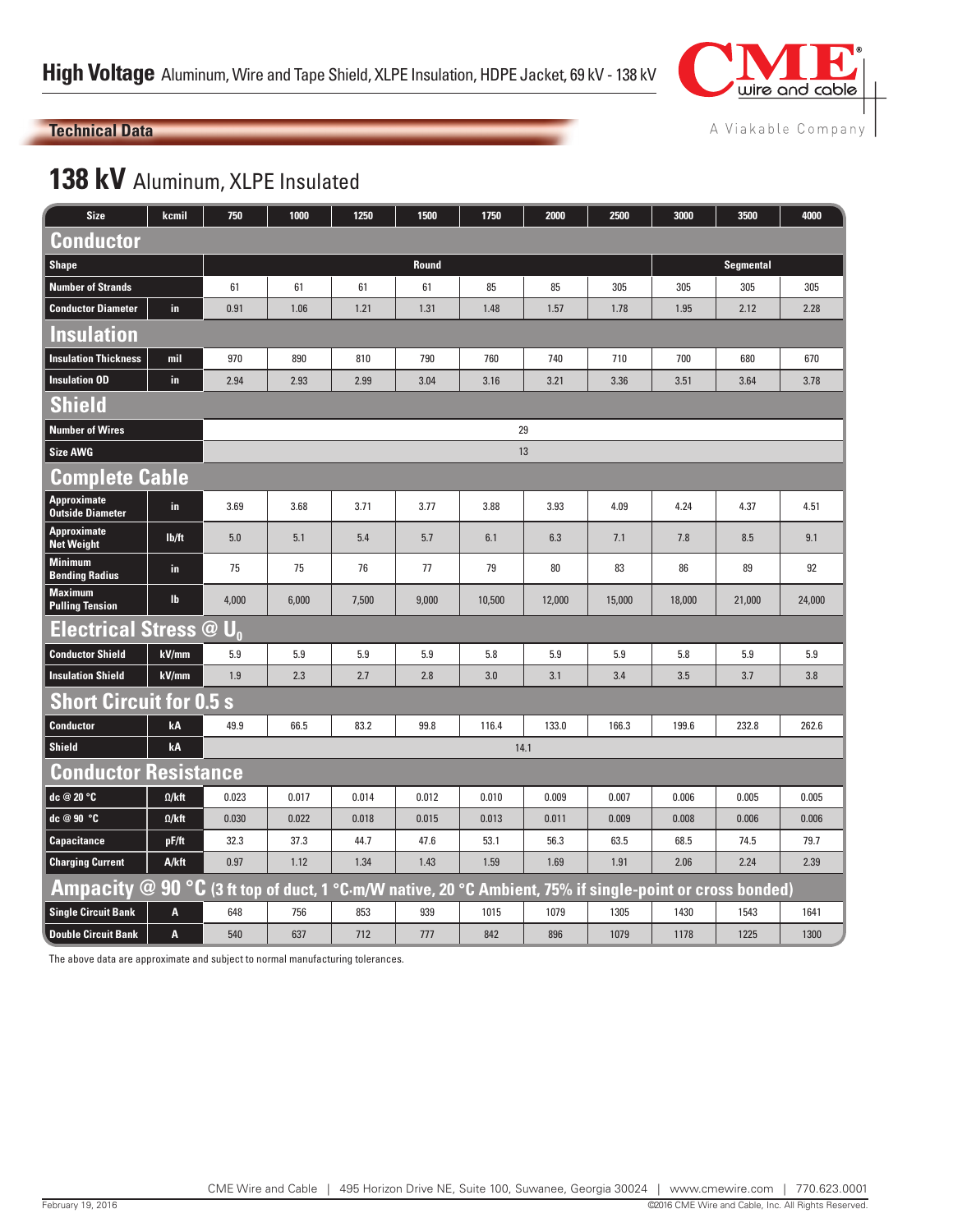

#### A Viakable Company

## **Technical Data**

## 138 kV Aluminum, XLPE Insulated

| <b>Size</b>                                   | kcmil         | 750            | 1000  | 1250  | 1500  | 1750   | 2000                                                                                           | 2500   | 3000             | 3500   | 4000   |  |  |  |
|-----------------------------------------------|---------------|----------------|-------|-------|-------|--------|------------------------------------------------------------------------------------------------|--------|------------------|--------|--------|--|--|--|
| Conductor                                     |               |                |       |       |       |        |                                                                                                |        |                  |        |        |  |  |  |
| <b>Shape</b>                                  |               | Round          |       |       |       |        |                                                                                                |        | <b>Segmental</b> |        |        |  |  |  |
| <b>Number of Strands</b>                      |               | 61             | 61    | 61    | 61    | 85     | 85                                                                                             | 305    | 305              | 305    | 305    |  |  |  |
| <b>Conductor Diameter</b>                     | in.           | 0.91           | 1.06  | 1.21  | 1.31  | 1.48   | 1.57                                                                                           | 1.78   | 1.95             | 2.12   | 2.28   |  |  |  |
| <b>Insulation</b>                             |               |                |       |       |       |        |                                                                                                |        |                  |        |        |  |  |  |
| <b>Insulation Thickness</b>                   | mil           | 970            | 890   | 810   | 790   | 760    | 740                                                                                            | 710    | 700              | 680    | 670    |  |  |  |
| <b>Insulation OD</b>                          | in            | 2.94           | 2.93  | 2.99  | 3.04  | 3.16   | 3.21                                                                                           | 3.36   | 3.51             | 3.64   | 3.78   |  |  |  |
| <b>Shield</b>                                 |               |                |       |       |       |        |                                                                                                |        |                  |        |        |  |  |  |
| <b>Number of Wires</b>                        |               |                | 29    |       |       |        |                                                                                                |        |                  |        |        |  |  |  |
| <b>Size AWG</b>                               |               |                | 13    |       |       |        |                                                                                                |        |                  |        |        |  |  |  |
| <b>Complete Cable</b>                         |               |                |       |       |       |        |                                                                                                |        |                  |        |        |  |  |  |
| <b>Approximate</b><br><b>Outside Diameter</b> | in            | 3.69           | 3.68  | 3.71  | 3.77  | 3.88   | 3.93                                                                                           | 4.09   | 4.24             | 4.37   | 4.51   |  |  |  |
| <b>Approximate</b><br><b>Net Weight</b>       | lb/ft         | 5.0            | 5.1   | 5.4   | 5.7   | 6.1    | 6.3                                                                                            | 7.1    | 7.8              | 8.5    | 9.1    |  |  |  |
| <b>Minimum</b><br><b>Bending Radius</b>       | in            | 75             | 75    | 76    | 77    | 79     | 80                                                                                             | 83     | 86               | 89     | 92     |  |  |  |
| <b>Maximum</b><br><b>Pulling Tension</b>      | <b>Ib</b>     | 4,000          | 6,000 | 7,500 | 9,000 | 10,500 | 12,000                                                                                         | 15,000 | 18,000           | 21,000 | 24,000 |  |  |  |
| <b>Electrical Stress @</b>                    |               | $\mathbf{U}_0$ |       |       |       |        |                                                                                                |        |                  |        |        |  |  |  |
| <b>Conductor Shield</b>                       | kV/mm         | 5.9            | 5.9   | 5.9   | 5.9   | 5.8    | 5.9                                                                                            | 5.9    | 5.8              | 5.9    | 5.9    |  |  |  |
| <b>Insulation Shield</b>                      | kV/mm         | 1.9            | 2.3   | 2.7   | 2.8   | 3.0    | 3.1                                                                                            | 3.4    | 3.5              | 3.7    | 3.8    |  |  |  |
| <b>Short Circuit for 0.5 s</b>                |               |                |       |       |       |        |                                                                                                |        |                  |        |        |  |  |  |
| <b>Conductor</b>                              | kA            | 49.9           | 66.5  | 83.2  | 99.8  | 116.4  | 133.0                                                                                          | 166.3  | 199.6            | 232.8  | 262.6  |  |  |  |
| <b>Shield</b>                                 | kA            |                |       |       |       | 14.1   |                                                                                                |        |                  |        |        |  |  |  |
| <b>Conductor Resistance</b>                   |               |                |       |       |       |        |                                                                                                |        |                  |        |        |  |  |  |
| dc @ 20 °C                                    | $\Omega$ /kft | 0.023          | 0.017 | 0.014 | 0.012 | 0.010  | 0.009                                                                                          | 0.007  | 0.006            | 0.005  | 0.005  |  |  |  |
| dc @ 90 °C                                    | $\Omega$ /kft | 0.030          | 0.022 | 0.018 | 0.015 | 0.013  | 0.011                                                                                          | 0.009  | 0.008            | 0.006  | 0.006  |  |  |  |
| <b>Capacitance</b>                            | pF/ft         | 32.3           | 37.3  | 44.7  | 47.6  | 53.1   | 56.3                                                                                           | 63.5   | 68.5             | 74.5   | 79.7   |  |  |  |
| <b>Charging Current</b>                       | A/kft         | 0.97           | 1.12  | 1.34  | 1.43  | 1.59   | 1.69                                                                                           | 1.91   | 2.06             | 2.24   | 2.39   |  |  |  |
| Ampacity @ 90 °C                              |               |                |       |       |       |        | <u>(3 ft top of duct, 1 °C·m/W native, 20 °C Ambient, 75% if single-point or cross bonded)</u> |        |                  |        |        |  |  |  |
| <b>Single Circuit Bank</b>                    | A             | 648            | 756   | 853   | 939   | 1015   | 1079                                                                                           | 1305   | 1430             | 1543   | 1641   |  |  |  |
| <b>Double Circuit Bank</b>                    | A             | 540            | 637   | 712   | 777   | 842    | 896                                                                                            | 1079   | 1178             | 1225   | 1300   |  |  |  |

The above data are approximate and subject to normal manufacturing tolerances.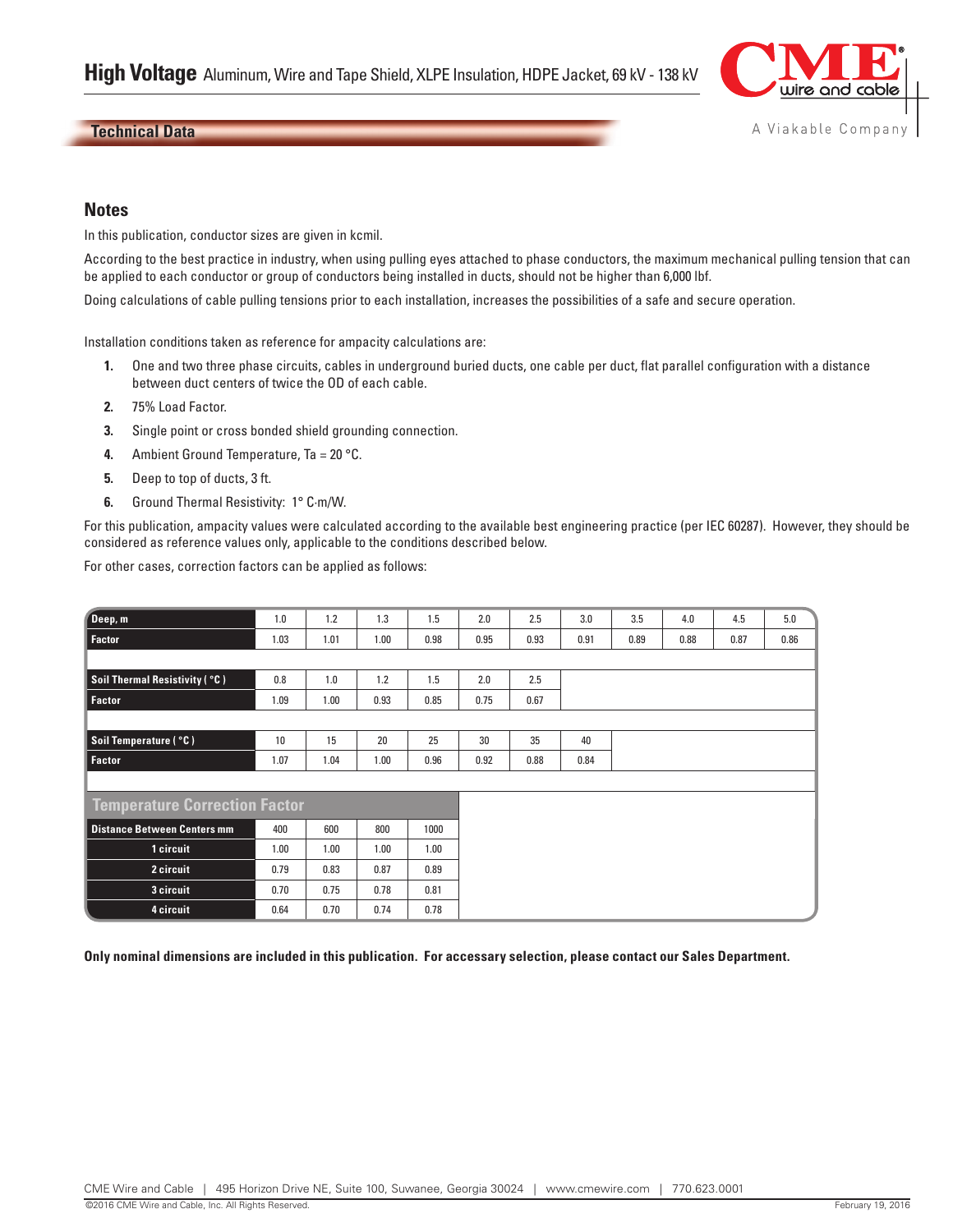

#### **Technical Data**

#### **Notes**

In this publication, conductor sizes are given in kcmil.

According to the best practice in industry, when using pulling eyes attached to phase conductors, the maximum mechanical pulling tension that can be applied to each conductor or group of conductors being installed in ducts, should not be higher than 6,000 lbf.

Doing calculations of cable pulling tensions prior to each installation, increases the possibilities of a safe and secure operation.

Installation conditions taken as reference for ampacity calculations are:

- **1.** One and two three phase circuits, cables in underground buried ducts, one cable per duct, flat parallel configuration with a distance between duct centers of twice the OD of each cable.
- **2.** 75% Load Factor.
- **3.** Single point or cross bonded shield grounding connection.
- **4.** Ambient Ground Temperature, Ta = 20 °C.
- **5.** Deep to top of ducts, 3 ft.
- **6.** Ground Thermal Resistivity: 1° C·m/W.

For this publication, ampacity values were calculated according to the available best engineering practice (per IEC 60287). However, they should be considered as reference values only, applicable to the conditions described below.

For other cases, correction factors can be applied as follows:

| Deep, m                              | 1.0  | 1.2  | 1.3  | 1.5  | 2.0  | 2.5  | 3.0  | 3.5  | 4.0  | 4.5  | 5.0  |
|--------------------------------------|------|------|------|------|------|------|------|------|------|------|------|
| <b>Factor</b>                        | 1.03 | 1.01 | 1.00 | 0.98 | 0.95 | 0.93 | 0.91 | 0.89 | 0.88 | 0.87 | 0.86 |
|                                      |      |      |      |      |      |      |      |      |      |      |      |
| <b>Soil Thermal Resistivity (°C)</b> | 0.8  | 1.0  | 1.2  | 1.5  | 2.0  | 2.5  |      |      |      |      |      |
| Factor                               | 1.09 | 1.00 | 0.93 | 0.85 | 0.75 | 0.67 |      |      |      |      |      |
|                                      |      |      |      |      |      |      |      |      |      |      |      |
| Soil Temperature ( °C)               | 10   | 15   | 20   | 25   | 30   | 35   | 40   |      |      |      |      |
| <b>Factor</b>                        | 1.07 | 1.04 | 1.00 | 0.96 | 0.92 | 0.88 | 0.84 |      |      |      |      |
|                                      |      |      |      |      |      |      |      |      |      |      |      |
| <b>Temperature Correction Factor</b> |      |      |      |      |      |      |      |      |      |      |      |
| <b>Distance Between Centers mm</b>   | 400  | 600  | 800  | 1000 |      |      |      |      |      |      |      |
| 1 circuit                            | 1.00 | 1.00 | 1.00 | 1.00 |      |      |      |      |      |      |      |
| 2 circuit                            | 0.79 | 0.83 | 0.87 | 0.89 |      |      |      |      |      |      |      |
| 3 circuit                            | 0.70 | 0.75 | 0.78 | 0.81 |      |      |      |      |      |      |      |
| 4 circuit                            | 0.64 | 0.70 | 0.74 | 0.78 |      |      |      |      |      |      |      |

**Only nominal dimensions are included in this publication. For accessary selection, please contact our Sales Department.**